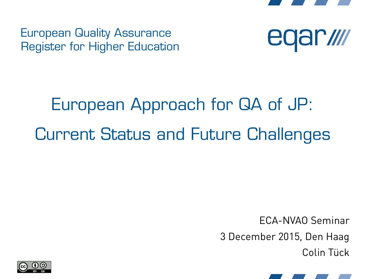

European Quality Assurance Register for Higher Education



# European Approach for QA of JP: Current Status and Future Challenges

ECA-NVAO Seminar 3 December 2015, Den Haag Colin Tück



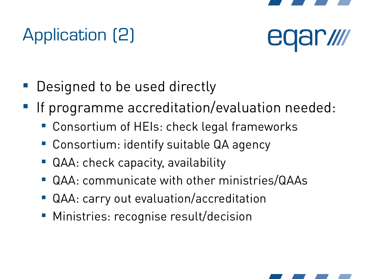

# Application (2)



- Designed to be used directly
- If programme accreditation/evaluation needed:
	- Consortium of HEIs: check legal frameworks
	- Consortium: identify suitable QA agency
	- QAA: check capacity, availability
	- QAA: communicate with other ministries/QAAs
	- QAA: carry out evaluation/accreditation
	- **Ministries: recognise result/decision**

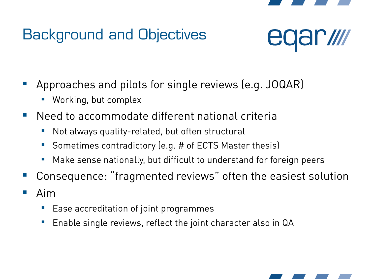

#### Background and Objectives



- Approaches and pilots for single reviews (e.g. JOQAR)
	- Working, but complex
- Need to accommodate different national criteria
	- **Not always quality-related, but often structural**
	- Sometimes contradictory (e.g. # of ECTS Master thesis)
	- Make sense nationally, but difficult to understand for foreign peers
- Consequence: "fragmented reviews" often the easiest solution
- $\blacksquare$  Aim
	- Ease accreditation of joint programmes
	- **Enable single reviews, reflect the joint character also in QA**

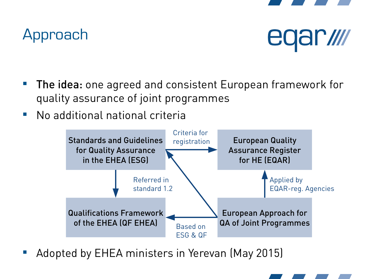

#### Approach



- The idea: one agreed and consistent European framework for quality assurance of joint programmes
- No additional national criteria



Adopted by EHEA ministers in Yerevan (May 2015)

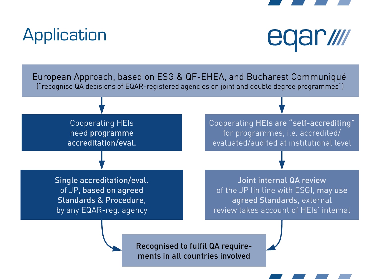

#### **Application**



European Approach, based on ESG & QF-EHEA, and Bucharest Communiqué ("recognise QA decisions of EQAR-registered agencies on joint and double degree programmes")

> Cooperating HEIs need programme accreditation/eval.

Cooperating HEIs are "self-accrediting" for programmes, i.e. accredited/ evaluated/audited at institutional level

Single accreditation/eval. of JP, based on agreed Standards & Procedure, by any EQAR-reg. agency

Joint internal QA review of the JP (in line with ESG), may use agreed Standards, external review takes account of HEIs' internal

Recognised to fulfil QA requirements in all countries involved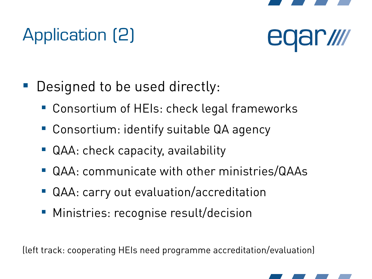

# Application (2)



- **Designed to be used directly:** 
	- Consortium of HEIs: check legal frameworks
	- Consortium: identify suitable QA agency
	- QAA: check capacity, availability
	- QAA: communicate with other ministries/QAAs
	- QAA: carry out evaluation/accreditation
	- **Ministries: recognise result/decision**

(left track: cooperating HEIs need programme accreditation/evaluation)

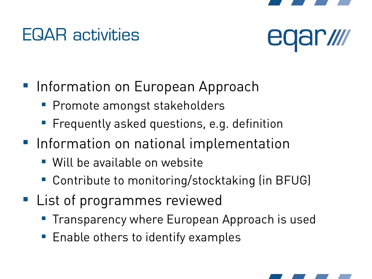

#### EQAR activities



- **Information on European Approach** 
	- **Promote amongst stakeholders**
	- **Filter Frequently asked questions, e.g. definition**
- **Information on national implementation** 
	- Will be available on website
	- Contribute to monitoring/stocktaking (in BFUG)
- **List of programmes reviewed** 
	- **Transparency where European Approach is used**
	- **Enable others to identify examples**